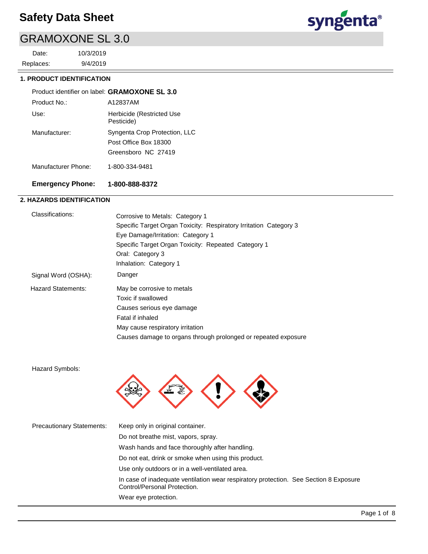## GRAMOXONE SL 3.0

9/4/2019 10/3/2019 Replaces: Date:



### **1. PRODUCT IDENTIFICATION**

#### A12837AM Product identifier on label: **GRAMOXONE SL 3.0** Product No.:

| <b>Emergency Phone:</b> | 1-800-888-8372                                                                |
|-------------------------|-------------------------------------------------------------------------------|
| Manufacturer Phone:     | 1-800-334-9481                                                                |
| Manufacturer:           | Syngenta Crop Protection, LLC<br>Post Office Box 18300<br>Greensboro NC 27419 |
| Use:                    | Herbicide (Restricted Use<br>Pesticide)                                       |
| .                       | ,,,,,,,,,,,,,,                                                                |

### **2. HAZARDS IDENTIFICATION**

| Classifications:          | Corrosive to Metals: Category 1<br>Specific Target Organ Toxicity: Respiratory Irritation Category 3<br>Eye Damage/Irritation: Category 1<br>Specific Target Organ Toxicity: Repeated Category 1<br>Oral: Category 3<br>Inhalation: Category 1 |
|---------------------------|------------------------------------------------------------------------------------------------------------------------------------------------------------------------------------------------------------------------------------------------|
| Signal Word (OSHA):       | Danger                                                                                                                                                                                                                                         |
| <b>Hazard Statements:</b> | May be corrosive to metals<br>Toxic if swallowed<br>Causes serious eye damage<br>Fatal if inhaled<br>May cause respiratory irritation<br>Causes damage to organs through prolonged or repeated exposure                                        |

Hazard Symbols:



| <b>Precautionary Statements:</b> | Keep only in original container.                                                                                      |
|----------------------------------|-----------------------------------------------------------------------------------------------------------------------|
|                                  | Do not breathe mist, vapors, spray.                                                                                   |
|                                  | Wash hands and face thoroughly after handling.                                                                        |
|                                  | Do not eat, drink or smoke when using this product.                                                                   |
|                                  | Use only outdoors or in a well-ventilated area.                                                                       |
|                                  | In case of inadequate ventilation wear respiratory protection. See Section 8 Exposure<br>Control/Personal Protection. |
|                                  | Wear eye protection.                                                                                                  |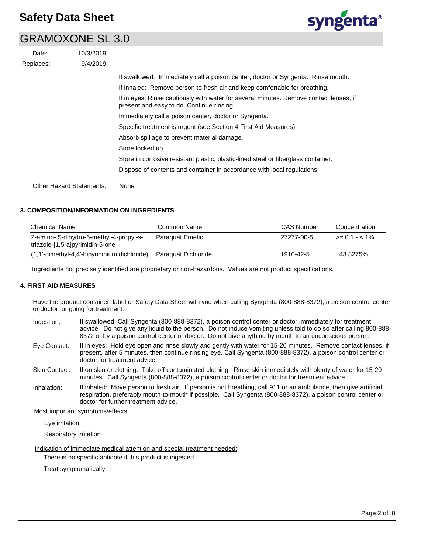### GRAMOXONE SL 3.0

| Date:     | 10/3/2019                       |                                                                                                                                 |
|-----------|---------------------------------|---------------------------------------------------------------------------------------------------------------------------------|
| Replaces: | 9/4/2019                        |                                                                                                                                 |
|           |                                 | If swallowed: Immediately call a poison center, doctor or Syngenta. Rinse mouth.                                                |
|           |                                 | If inhaled: Remove person to fresh air and keep comfortable for breathing.                                                      |
|           |                                 | If in eyes: Rinse cautiously with water for several minutes. Remove contact lenses<br>present and easy to do. Continue rinsing. |
|           |                                 | Immediately call a poison center, doctor or Syngenta.                                                                           |
|           |                                 | Specific treatment is urgent (see Section 4 First Aid Measures).                                                                |
|           |                                 | Absorb spillage to prevent material damage.                                                                                     |
|           |                                 | Store locked up.                                                                                                                |
|           |                                 | Store in corrosive resistant plastic, plastic-lined steel or fiberglass container.                                              |
|           |                                 | Dispose of contents and container in accordance with local regulations.                                                         |
|           | <b>Other Hazard Statements:</b> | None                                                                                                                            |

### **3. COMPOSITION/INFORMATION ON INGREDIENTS**

| <b>Chemical Name</b>                                                       | Common Name         | CAS Number | Concentration    |
|----------------------------------------------------------------------------|---------------------|------------|------------------|
| 2-amino-,5-dihydro-6-methyl-4-propyl-s-<br>triazole-[1,5-a]pyrimidin-5-one | Paraguat Emetic     | 27277-00-5 | $>= 0.1 - 5.1\%$ |
| $(1,1'-dimethyl-4,4'-bipyridinium dichloride)$                             | Paraguat Dichloride | 1910-42-5  | 43.8275%         |

Ingredients not precisely identified are proprietary or non-hazardous. Values are not product specifications.

### **4. FIRST AID MEASURES**

Have the product container, label or Safety Data Sheet with you when calling Syngenta (800-888-8372), a poison control center or doctor, or going for treatment.

| Ingestion:    | If swallowed: Call Syngenta (800-888-8372), a poison control center or doctor immediately for treatment<br>advice. Do not give any liquid to the person. Do not induce vomiting unless told to do so after calling 800-888-<br>8372 or by a poison control center or doctor. Do not give anything by mouth to an unconscious person. |
|---------------|--------------------------------------------------------------------------------------------------------------------------------------------------------------------------------------------------------------------------------------------------------------------------------------------------------------------------------------|
| Eye Contact:  | If in eyes: Hold eye open and rinse slowly and gently with water for 15-20 minutes. Remove contact lenses, if<br>present, after 5 minutes, then continue rinsing eye. Call Syngenta (800-888-8372), a poison control center or<br>doctor for treatment advice.                                                                       |
| Skin Contact: | If on skin or clothing: Take off contaminated clothing. Rinse skin immediately with plenty of water for 15-20<br>minutes. Call Syngenta (800-888-8372), a poison control center or doctor for treatment advice.                                                                                                                      |
| Inhalation:   | If inhaled: Move person to fresh air. If person is not breathing, call 911 or an ambulance, then give artificial<br>respiration, preferably mouth-to-mouth if possible. Call Syngenta (800-888-8372), a poison control center or<br>doctor for further treatment advice.                                                             |

Most important symptoms/effects:

Eye irritation

Respiratory irritation

Indication of immediate medical attention and special treatment needed:

There is no specific antidote if this product is ingested.

Treat symptomatically.



lenses, if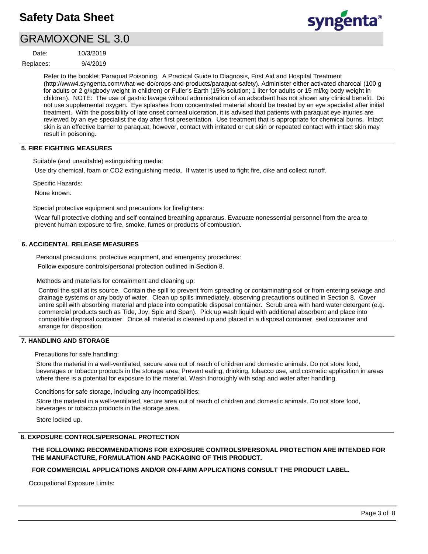### GRAMOXONE SL 3.0

9/4/2019 10/3/2019 Replaces: Date:



Refer to the booklet 'Paraquat Poisoning. A Practical Guide to Diagnosis, First Aid and Hospital Treatment (http://www4.syngenta.com/what-we-do/crops-and-products/paraquat-safety). Administer either activated charcoal (100 g for adults or 2 g/kgbody weight in children) or Fuller's Earth (15% solution; 1 liter for adults or 15 ml/kg body weight in children). NOTE: The use of gastric lavage without administration of an adsorbent has not shown any clinical benefit. Do not use supplemental oxygen. Eye splashes from concentrated material should be treated by an eye specialist after initial treatment. With the possibility of late onset corneal ulceration, it is advised that patients with paraquat eye injuries are reviewed by an eye specialist the day after first presentation. Use treatment that is appropriate for chemical burns. Intact skin is an effective barrier to paraquat, however, contact with irritated or cut skin or repeated contact with intact skin may result in poisoning.

### **5. FIRE FIGHTING MEASURES**

Suitable (and unsuitable) extinguishing media:

Use dry chemical, foam or CO2 extinguishing media. If water is used to fight fire, dike and collect runoff.

Specific Hazards:

None known.

Special protective equipment and precautions for firefighters:

Wear full protective clothing and self-contained breathing apparatus. Evacuate nonessential personnel from the area to prevent human exposure to fire, smoke, fumes or products of combustion.

### **6. ACCIDENTAL RELEASE MEASURES**

Personal precautions, protective equipment, and emergency procedures:

Follow exposure controls/personal protection outlined in Section 8.

Methods and materials for containment and cleaning up:

Control the spill at its source. Contain the spill to prevent from spreading or contaminating soil or from entering sewage and drainage systems or any body of water. Clean up spills immediately, observing precautions outlined in Section 8. Cover entire spill with absorbing material and place into compatible disposal container. Scrub area with hard water detergent (e.g. commercial products such as Tide, Joy, Spic and Span). Pick up wash liquid with additional absorbent and place into compatible disposal container. Once all material is cleaned up and placed in a disposal container, seal container and arrange for disposition.

### **7. HANDLING AND STORAGE**

Precautions for safe handling:

Store the material in a well-ventilated, secure area out of reach of children and domestic animals. Do not store food, beverages or tobacco products in the storage area. Prevent eating, drinking, tobacco use, and cosmetic application in areas where there is a potential for exposure to the material. Wash thoroughly with soap and water after handling.

Conditions for safe storage, including any incompatibilities:

Store the material in a well-ventilated, secure area out of reach of children and domestic animals. Do not store food, beverages or tobacco products in the storage area.

Store locked up.

### **8. EXPOSURE CONTROLS/PERSONAL PROTECTION**

**THE FOLLOWING RECOMMENDATIONS FOR EXPOSURE CONTROLS/PERSONAL PROTECTION ARE INTENDED FOR THE MANUFACTURE, FORMULATION AND PACKAGING OF THIS PRODUCT.** 

**FOR COMMERCIAL APPLICATIONS AND/OR ON-FARM APPLICATIONS CONSULT THE PRODUCT LABEL.**

Occupational Exposure Limits: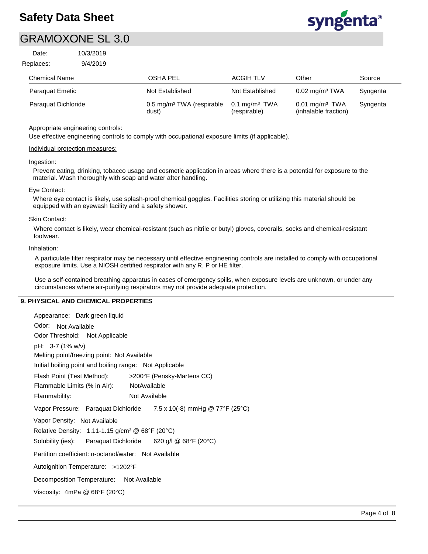

### GRAMOXONE SL 3.0

| Date:     | 10/3/2019 |
|-----------|-----------|
| Replaces: | 9/4/2019  |

| 25.0                   |                                                |                                          |                                                      |          |
|------------------------|------------------------------------------------|------------------------------------------|------------------------------------------------------|----------|
| <b>Chemical Name</b>   | OSHA PEL                                       | <b>ACGIH TLV</b>                         | Other                                                | Source   |
| <b>Paraguat Emetic</b> | Not Established                                | Not Established                          | $0.02$ mg/m <sup>3</sup> TWA                         | Syngenta |
| Paraguat Dichloride    | 0.5 mg/m <sup>3</sup> TWA (respirable<br>dust) | $0.1 \text{ mg/m}^3$ TWA<br>(respirable) | $0.01$ mg/m <sup>3</sup> TWA<br>(inhalable fraction) | Syngenta |

### Appropriate engineering controls:

Use effective engineering controls to comply with occupational exposure limits (if applicable).

#### Individual protection measures:

#### Ingestion:

Prevent eating, drinking, tobacco usage and cosmetic application in areas where there is a potential for exposure to the material. Wash thoroughly with soap and water after handling.

#### Eye Contact:

Where eye contact is likely, use splash-proof chemical goggles. Facilities storing or utilizing this material should be equipped with an eyewash facility and a safety shower.

#### Skin Contact:

Where contact is likely, wear chemical-resistant (such as nitrile or butyl) gloves, coveralls, socks and chemical-resistant footwear.

#### Inhalation:

A particulate filter respirator may be necessary until effective engineering controls are installed to comply with occupational exposure limits. Use a NIOSH certified respirator with any R, P or HE filter.

Use a self-contained breathing apparatus in cases of emergency spills, when exposure levels are unknown, or under any circumstances where air-purifying respirators may not provide adequate protection.

### **9. PHYSICAL AND CHEMICAL PROPERTIES**

| Appearance: Dark green liquid                                                   |
|---------------------------------------------------------------------------------|
| Odor: Not Available                                                             |
| Odor Threshold: Not Applicable                                                  |
| pH: 3-7 (1% w/v)                                                                |
| Melting point/freezing point: Not Available                                     |
| Initial boiling point and boiling range: Not Applicable                         |
| Flash Point (Test Method): >200°F (Pensky-Martens CC)                           |
| Flammable Limits (% in Air): NotAvailable                                       |
| Flammability:<br>Not Available                                                  |
| Vapor Pressure: Paraquat Dichloride 7.5 x 10(-8) mmHg @ 77°F (25°C)             |
| Vapor Density: Not Available                                                    |
| Relative Density: 1.11-1.15 g/cm <sup>3</sup> @ $68^{\circ}F$ (20 $^{\circ}C$ ) |
| Solubility (ies): Paraquat Dichloride 620 g/l @ 68°F (20°C)                     |
| Partition coefficient: n-octanol/water: Not Available                           |
| Autoignition Temperature: >1202°F                                               |
| Decomposition Temperature: Not Available                                        |
| Viscosity: $4mPa \ @ 68°F (20°C)$                                               |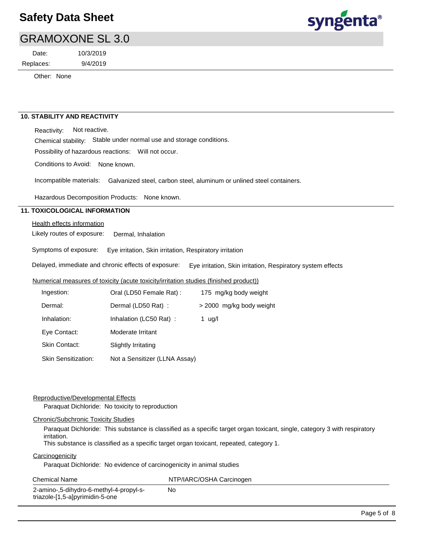

### GRAMOXONE SL 3.0

Replaces: Date:

9/4/2019 10/3/2019

Other: None

#### **10. STABILITY AND REACTIVITY**

Reactivity: Not reactive.

Chemical stability: Stable under normal use and storage conditions.

Possibility of hazardous reactions: Will not occur.

Conditions to Avoid: None known.

Incompatible materials: Galvanized steel, carbon steel, aluminum or unlined steel containers.

Hazardous Decomposition Products: None known.

### **11. TOXICOLOGICAL INFORMATION**

Health effects information

Likely routes of exposure: Dermal, Inhalation

Symptoms of exposure: Eye irritation, Skin irritation, Respiratory irritation

Delayed, immediate and chronic effects of exposure: Eye irritation, Skin irritation, Respiratory system effects

### Numerical measures of toxicity (acute toxicity/irritation studies (finished product))

| Ingestion:                 | Oral (LD50 Female Rat):<br>175 mg/kg body weight |        |
|----------------------------|--------------------------------------------------|--------|
| Dermal:                    | Dermal (LD50 Rat):<br>> 2000 mg/kg body weight   |        |
| Inhalation:                | Inhalation (LC50 Rat):                           | 1 ug/l |
| Eye Contact:               | Moderate Irritant                                |        |
| <b>Skin Contact:</b>       | Slightly Irritating                              |        |
| <b>Skin Sensitization:</b> | Not a Sensitizer (LLNA Assay)                    |        |

#### Reproductive/Developmental Effects

Paraquat Dichloride: No toxicity to reproduction

### Chronic/Subchronic Toxicity Studies

Paraquat Dichloride: This substance is classified as a specific target organ toxicant, single, category 3 with respiratory irritation.

This substance is classified as a specific target organ toxicant, repeated, category 1.

### **Carcinogenicity**

Paraquat Dichloride: No evidence of carcinogenicity in animal studies

| <b>Chemical Name</b> |  |
|----------------------|--|
|----------------------|--|

NTP/IARC/OSHA Carcinogen No

2-amino-,5-dihydro-6-methyl-4-propyl-striazole-[1,5-a]pyrimidin-5-one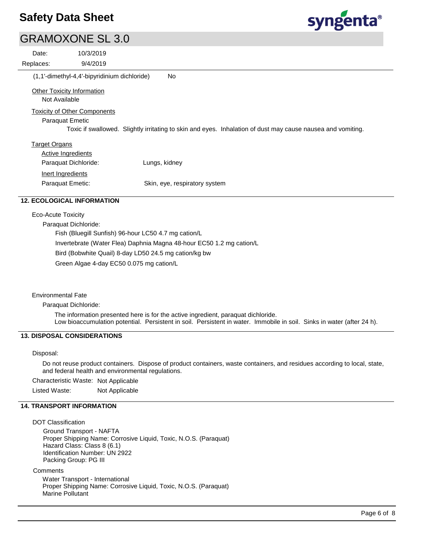# syngenta®

| <b>GRAMOXONE SL 3.0</b>             |                                              |                                                                                                             |
|-------------------------------------|----------------------------------------------|-------------------------------------------------------------------------------------------------------------|
| Date:                               | 10/3/2019                                    |                                                                                                             |
| Replaces:                           | 9/4/2019                                     |                                                                                                             |
|                                     | (1,1'-dimethyl-4,4'-bipyridinium dichloride) | No                                                                                                          |
| <b>Other Toxicity Information</b>   |                                              |                                                                                                             |
| Not Available                       |                                              |                                                                                                             |
| <b>Toxicity of Other Components</b> |                                              |                                                                                                             |
| <b>Paraquat Emetic</b>              |                                              |                                                                                                             |
|                                     |                                              | Toxic if swallowed. Slightly irritating to skin and eyes. Inhalation of dust may cause nausea and vomiting. |
| <b>Target Organs</b>                |                                              |                                                                                                             |
| <b>Active Ingredients</b>           |                                              |                                                                                                             |
| Paraquat Dichloride:                |                                              | Lungs, kidney                                                                                               |
| Inert Ingredients                   |                                              |                                                                                                             |
| Paraquat Emetic:                    |                                              | Skin, eye, respiratory system                                                                               |
| 2. ECOLOGICAL INFORMATION           |                                              |                                                                                                             |

#### Eco-Acute Toxicity

Paraquat Dichloride:

Fish (Bluegill Sunfish) 96-hour LC50 4.7 mg cation/L

Invertebrate (Water Flea) Daphnia Magna 48-hour EC50 1.2 mg cation/L

Bird (Bobwhite Quail) 8-day LD50 24.5 mg cation/kg bw

Green Algae 4-day EC50 0.075 mg cation/L

Environmental Fate

Paraquat Dichloride:

The information presented here is for the active ingredient, paraquat dichloride. Low bioaccumulation potential. Persistent in soil. Persistent in water. Immobile in soil. Sinks in water (after 24 h).

### **13. DISPOSAL CONSIDERATIONS**

Disposal:

Do not reuse product containers. Dispose of product containers, waste containers, and residues according to local, state, and federal health and environmental regulations.

Characteristic Waste: Not Applicable

Listed Waste: Not Applicable

### **14. TRANSPORT INFORMATION**

DOT Classification

Ground Transport - NAFTA Proper Shipping Name: Corrosive Liquid, Toxic, N.O.S. (Paraquat) Hazard Class: Class 8 (6.1) Identification Number: UN 2922 Packing Group: PG III

**Comments** 

Water Transport - International Proper Shipping Name: Corrosive Liquid, Toxic, N.O.S. (Paraquat) Marine Pollutant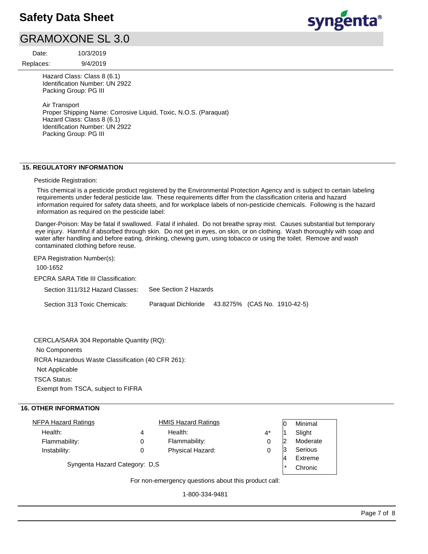### GRAMOXONE SL 3.0

Replaces: Date:

9/4/2019 10/3/2019

Hazard Class: Class 8 (6.1) Identification Number: UN 2922 Packing Group: PG III

Air Transport Proper Shipping Name: Corrosive Liquid, Toxic, N.O.S. (Paraquat) Hazard Class: Class 8 (6.1) Identification Number: UN 2922 Packing Group: PG III

### **15. REGULATORY INFORMATION**

### Pesticide Registration:

This chemical is a pesticide product registered by the Environmental Protection Agency and is subject to certain labeling requirements under federal pesticide law. These requirements differ from the classification criteria and hazard information required for safety data sheets, and for workplace labels of non-pesticide chemicals. Following is the hazard information as required on the pesticide label:

Danger-Poison: May be fatal if swallowed. Fatal if inhaled. Do not breathe spray mist. Causes substantial but temporary eye injury. Harmful if absorbed through skin. Do not get in eyes, on skin, or on clothing. Wash thoroughly with soap and water after handling and before eating, drinking, chewing gum, using tobacco or using the toilet. Remove and wash contaminated clothing before reuse.

EPA Registration Number(s):

100-1652

EPCRA SARA Title III Classification:

| Section 311/312 Hazard Classes: | See Section 2 Hazards                            |  |  |
|---------------------------------|--------------------------------------------------|--|--|
| Section 313 Toxic Chemicals:    | Paraguat Dichloride 43.8275% (CAS No. 1910-42-5) |  |  |

RCRA Hazardous Waste Classification (40 CFR 261): Not Applicable TSCA Status: Exempt from TSCA, subject to FIFRA CERCLA/SARA 304 Reportable Quantity (RQ): No Components

### **16. OTHER INFORMATION**

| <u>NFPA Hazard Ratings</u>     |   | <b>HMIS Hazard Ratings</b>                           |       |         | Minimal  |
|--------------------------------|---|------------------------------------------------------|-------|---------|----------|
| Health:                        | 4 | Health:                                              | $4^*$ |         | Slight   |
| Flammability:                  | 0 | Flammability:                                        | 0     |         | Moderate |
| Instability:                   | 0 | Physical Hazard:                                     | 0     |         | Serious  |
|                                |   |                                                      |       |         | Extreme  |
| Syngenta Hazard Category: D.S. |   |                                                      |       | $\star$ | Chronic  |
|                                |   | For non-emergency questions about this product call: |       |         |          |

For non-emergency questions about this product call:

1-800-334-9481

syngenta®